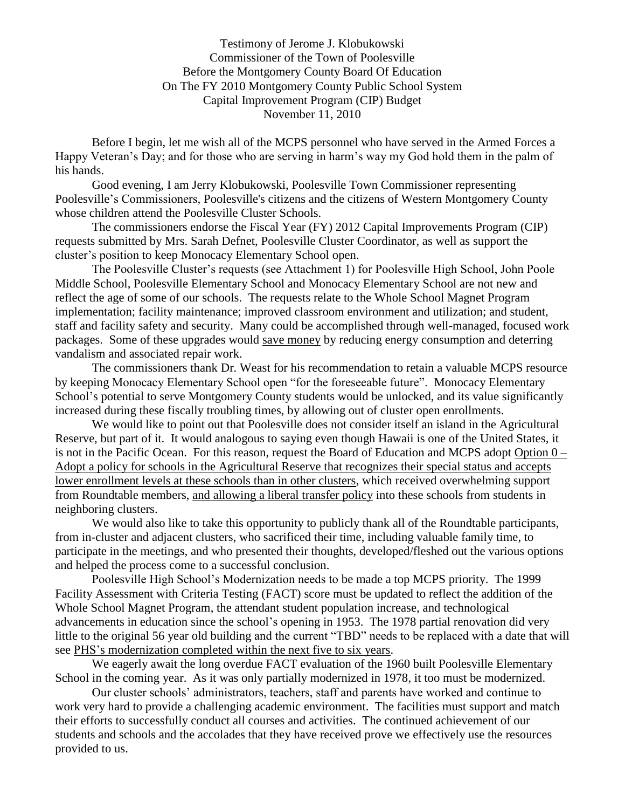Testimony of Jerome J. Klobukowski Commissioner of the Town of Poolesville Before the Montgomery County Board Of Education On The FY 2010 Montgomery County Public School System Capital Improvement Program (CIP) Budget November 11, 2010

Before I begin, let me wish all of the MCPS personnel who have served in the Armed Forces a Happy Veteran's Day; and for those who are serving in harm's way my God hold them in the palm of his hands.

Good evening, I am Jerry Klobukowski, Poolesville Town Commissioner representing Poolesville's Commissioners, Poolesville's citizens and the citizens of Western Montgomery County whose children attend the Poolesville Cluster Schools.

The commissioners endorse the Fiscal Year (FY) 2012 Capital Improvements Program (CIP) requests submitted by Mrs. Sarah Defnet, Poolesville Cluster Coordinator, as well as support the cluster's position to keep Monocacy Elementary School open.

The Poolesville Cluster's requests (see Attachment 1) for Poolesville High School, John Poole Middle School, Poolesville Elementary School and Monocacy Elementary School are not new and reflect the age of some of our schools. The requests relate to the Whole School Magnet Program implementation; facility maintenance; improved classroom environment and utilization; and student, staff and facility safety and security. Many could be accomplished through well-managed, focused work packages. Some of these upgrades would save money by reducing energy consumption and deterring vandalism and associated repair work.

The commissioners thank Dr. Weast for his recommendation to retain a valuable MCPS resource by keeping Monocacy Elementary School open "for the foreseeable future". Monocacy Elementary School's potential to serve Montgomery County students would be unlocked, and its value significantly increased during these fiscally troubling times, by allowing out of cluster open enrollments.

We would like to point out that Poolesville does not consider itself an island in the Agricultural Reserve, but part of it. It would analogous to saying even though Hawaii is one of the United States, it is not in the Pacific Ocean. For this reason, request the Board of Education and MCPS adopt Option 0 – Adopt a policy for schools in the Agricultural Reserve that recognizes their special status and accepts lower enrollment levels at these schools than in other clusters, which received overwhelming support from Roundtable members, and allowing a liberal transfer policy into these schools from students in neighboring clusters.

We would also like to take this opportunity to publicly thank all of the Roundtable participants, from in-cluster and adjacent clusters, who sacrificed their time, including valuable family time, to participate in the meetings, and who presented their thoughts, developed/fleshed out the various options and helped the process come to a successful conclusion.

Poolesville High School's Modernization needs to be made a top MCPS priority. The 1999 Facility Assessment with Criteria Testing (FACT) score must be updated to reflect the addition of the Whole School Magnet Program, the attendant student population increase, and technological advancements in education since the school's opening in 1953. The 1978 partial renovation did very little to the original 56 year old building and the current "TBD" needs to be replaced with a date that will see PHS's modernization completed within the next five to six years.

We eagerly await the long overdue FACT evaluation of the 1960 built Poolesville Elementary School in the coming year. As it was only partially modernized in 1978, it too must be modernized.

Our cluster schools' administrators, teachers, staff and parents have worked and continue to work very hard to provide a challenging academic environment. The facilities must support and match their efforts to successfully conduct all courses and activities. The continued achievement of our students and schools and the accolades that they have received prove we effectively use the resources provided to us.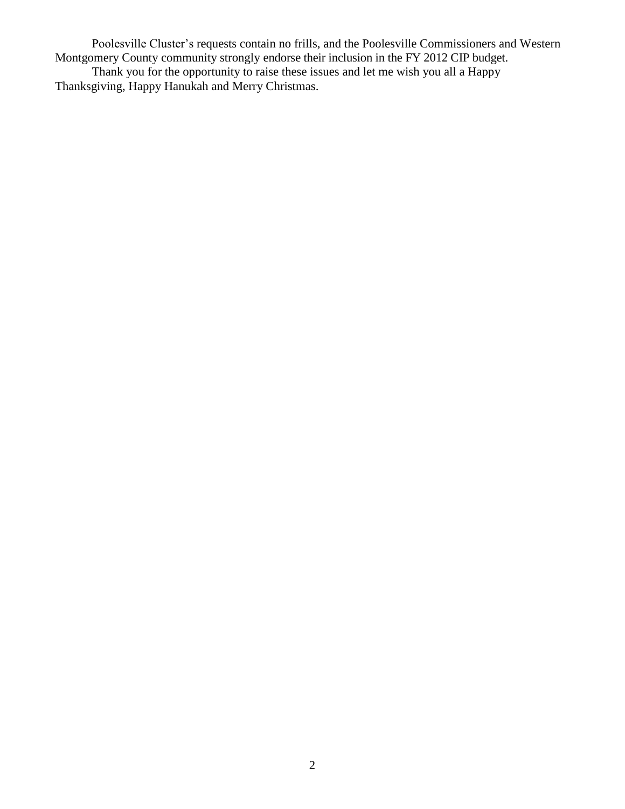Poolesville Cluster's requests contain no frills, and the Poolesville Commissioners and Western Montgomery County community strongly endorse their inclusion in the FY 2012 CIP budget. Thank you for the opportunity to raise these issues and let me wish you all a Happy Thanksgiving, Happy Hanukah and Merry Christmas.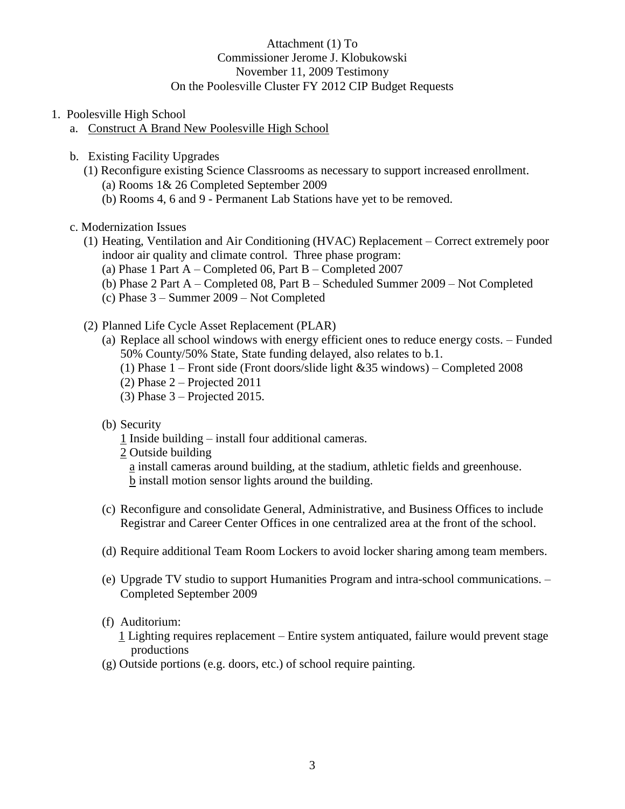## Attachment (1) To Commissioner Jerome J. Klobukowski November 11, 2009 Testimony On the Poolesville Cluster FY 2012 CIP Budget Requests

- 1. Poolesville High School
	- a. Construct A Brand New Poolesville High School
	- b. Existing Facility Upgrades
		- (1) Reconfigure existing Science Classrooms as necessary to support increased enrollment. (a) Rooms 1& 26 Completed September 2009
			- (b) Rooms 4, 6 and 9 Permanent Lab Stations have yet to be removed.
	- c. Modernization Issues
		- (1) Heating, Ventilation and Air Conditioning (HVAC) Replacement Correct extremely poor indoor air quality and climate control. Three phase program:
			- (a) Phase 1 Part  $A -$ Completed 06, Part  $B -$ Completed 2007
			- (b) Phase 2 Part A Completed 08, Part B Scheduled Summer 2009 Not Completed
			- (c) Phase 3 Summer 2009 Not Completed
		- (2) Planned Life Cycle Asset Replacement (PLAR)
			- (a) Replace all school windows with energy efficient ones to reduce energy costs. Funded 50% County/50% State, State funding delayed, also relates to b.1.
				- (1) Phase 1 Front side (Front doors/slide light &35 windows) Completed 2008
				- (2) Phase  $2 -$  Projected 2011
				- $(3)$  Phase 3 Projected 2015.
			- (b) Security
				- 1 Inside building install four additional cameras.
				- 2 Outside building
					- a install cameras around building, at the stadium, athletic fields and greenhouse. b install motion sensor lights around the building.
			- (c) Reconfigure and consolidate General, Administrative, and Business Offices to include Registrar and Career Center Offices in one centralized area at the front of the school.
			- (d) Require additional Team Room Lockers to avoid locker sharing among team members.
			- (e) Upgrade TV studio to support Humanities Program and intra-school communications. Completed September 2009
			- (f) Auditorium:
				- 1 Lighting requires replacement Entire system antiquated, failure would prevent stage productions
			- (g) Outside portions (e.g. doors, etc.) of school require painting.